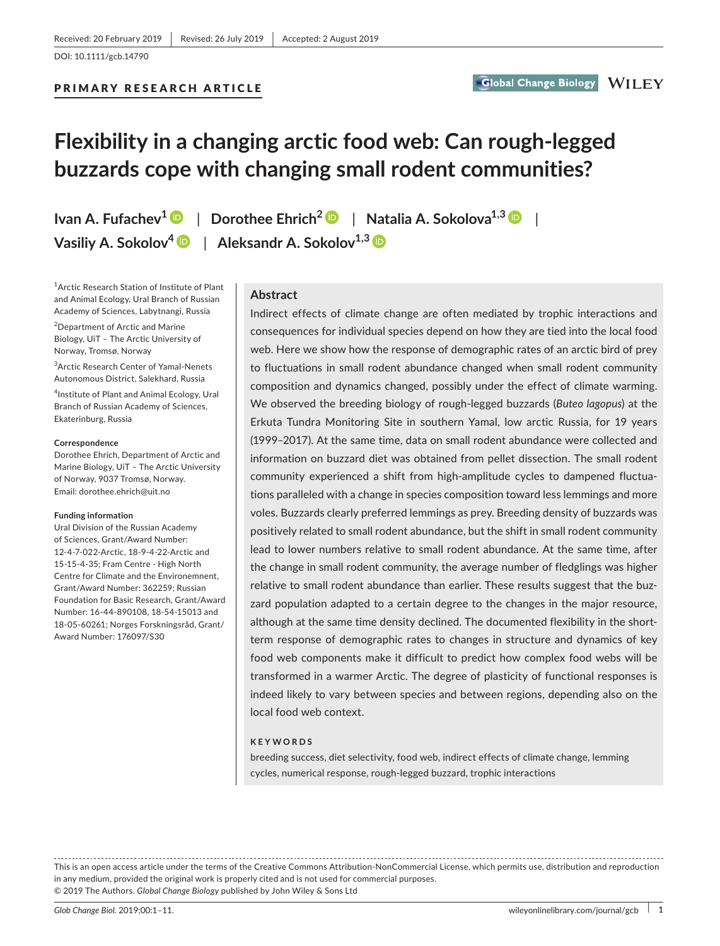PRIMARY RESEARCH ARTICLE

# **Flexibility in a changing arctic food web: Can rough‐legged buzzards cope with changing small rodent communities?**

**Ivan A. Fufachev[1](https://orcid.org/0000-0002-9531-3127)** | **Dorothee Ehrich2** | **Natalia A. Sokolova1,[3](https://orcid.org/0000-0002-6692-4375)** | **Vasiliy A. Sokolov<sup>4</sup> D | Aleksandr A. Sokolov<sup>1,3</sup> D** 

1 Arctic Research Station of Institute of Plant and Animal Ecology, Ural Branch of Russian Academy of Sciences, Labytnangi, Russia

2 Department of Arctic and Marine Biology, UiT – The Arctic University of Norway, Tromsø, Norway

3 Arctic Research Center of Yamal‐Nenets Autonomous District, Salekhard, Russia

4 Institute of Plant and Animal Ecology, Ural Branch of Russian Academy of Sciences, Ekaterinburg, Russia

#### **Correspondence**

Dorothee Ehrich, Department of Arctic and Marine Biology, UiT – The Arctic University of Norway, 9037 Tromsø, Norway. Email: [dorothee.ehrich@uit.no](mailto:dorothee.ehrich@uit.no)

#### **Funding information**

Ural Division of the Russian Academy of Sciences, Grant/Award Number: 12‐4‐7‐022‐Arctic, 18-9-4-22-Arctic and 15‐15‐4‐35; Fram Centre ‐ High North Centre for Climate and the Environemnent, Grant/Award Number: 362259; Russian Foundation for Basic Research, Grant/Award Number: 16‐44‐890108, 18-54-15013 and 18‐05‐60261; Norges Forskningsråd, Grant/ Award Number: 176097/S30

**Abstract**

Indirect effects of climate change are often mediated by trophic interactions and consequences for individual species depend on how they are tied into the local food web. Here we show how the response of demographic rates of an arctic bird of prey to fluctuations in small rodent abundance changed when small rodent community composition and dynamics changed, possibly under the effect of climate warming. We observed the breeding biology of rough‐legged buzzards (*Buteo lagopus*) at the Erkuta Tundra Monitoring Site in southern Yamal, low arctic Russia, for 19 years (1999–2017). At the same time, data on small rodent abundance were collected and information on buzzard diet was obtained from pellet dissection. The small rodent community experienced a shift from high-amplitude cycles to dampened fluctuations paralleled with a change in species composition toward less lemmings and more voles. Buzzards clearly preferred lemmings as prey. Breeding density of buzzards was positively related to small rodent abundance, but the shift in small rodent community lead to lower numbers relative to small rodent abundance. At the same time, after the change in small rodent community, the average number of fledglings was higher relative to small rodent abundance than earlier. These results suggest that the buz‐ zard population adapted to a certain degree to the changes in the major resource, although at the same time density declined. The documented flexibility in the shortterm response of demographic rates to changes in structure and dynamics of key food web components make it difficult to predict how complex food webs will be transformed in a warmer Arctic. The degree of plasticity of functional responses is indeed likely to vary between species and between regions, depending also on the local food web context.

#### **KEYWORDS**

breeding success, diet selectivity, food web, indirect effects of climate change, lemming cycles, numerical response, rough‐legged buzzard, trophic interactions

This is an open access article under the terms of the Creative Commons [Attribution‐NonCommercial](http://creativecommons.org/licenses/by-nc/4.0/) License, which permits use, distribution and reproduction in any medium, provided the original work is properly cited and is not used for commercial purposes. © 2019 The Authors. *Global Change Biology* published by John Wiley & Sons Ltd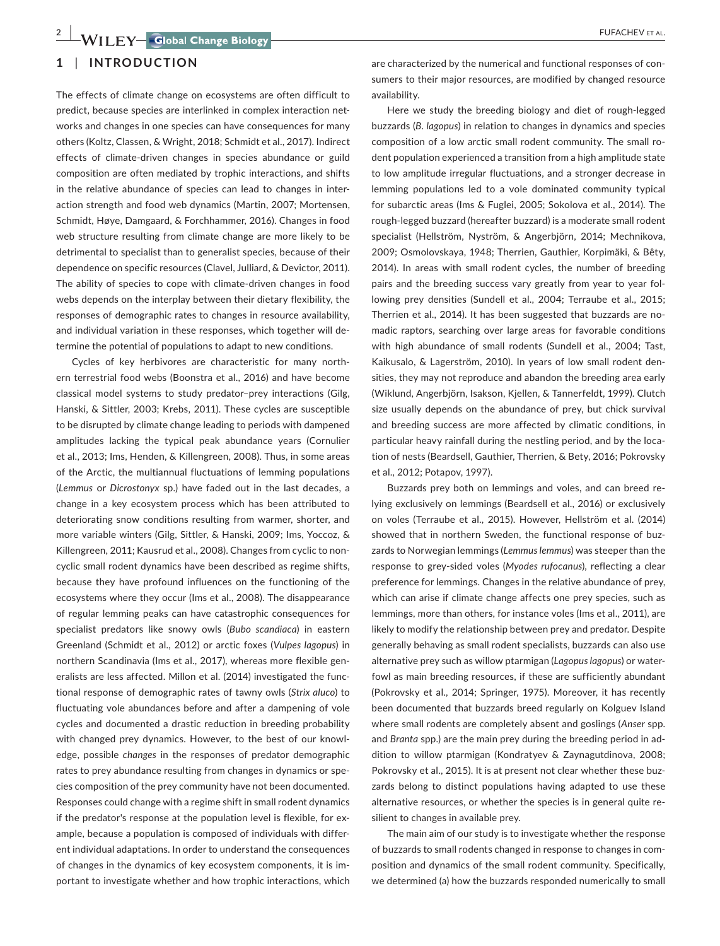# **1** | **INTRODUCTION**

The effects of climate change on ecosystems are often difficult to predict, because species are interlinked in complex interaction networks and changes in one species can have consequences for many others (Koltz, Classen, & Wright, 2018; Schmidt et al., 2017). Indirect effects of climate‐driven changes in species abundance or guild composition are often mediated by trophic interactions, and shifts in the relative abundance of species can lead to changes in inter‐ action strength and food web dynamics (Martin, 2007; Mortensen, Schmidt, Høye, Damgaard, & Forchhammer, 2016). Changes in food web structure resulting from climate change are more likely to be detrimental to specialist than to generalist species, because of their dependence on specific resources (Clavel, Julliard, & Devictor, 2011). The ability of species to cope with climate‐driven changes in food webs depends on the interplay between their dietary flexibility, the responses of demographic rates to changes in resource availability, and individual variation in these responses, which together will de‐ termine the potential of populations to adapt to new conditions.

Cycles of key herbivores are characteristic for many north‐ ern terrestrial food webs (Boonstra et al., 2016) and have become classical model systems to study predator–prey interactions (Gilg, Hanski, & Sittler, 2003; Krebs, 2011). These cycles are susceptible to be disrupted by climate change leading to periods with dampened amplitudes lacking the typical peak abundance years (Cornulier et al., 2013; Ims, Henden, & Killengreen, 2008). Thus, in some areas of the Arctic, the multiannual fluctuations of lemming populations (*Lemmus* or *Dicrostonyx* sp.) have faded out in the last decades, a change in a key ecosystem process which has been attributed to deteriorating snow conditions resulting from warmer, shorter, and more variable winters (Gilg, Sittler, & Hanski, 2009; Ims, Yoccoz, & Killengreen, 2011; Kausrud et al., 2008). Changes from cyclic to non‐ cyclic small rodent dynamics have been described as regime shifts, because they have profound influences on the functioning of the ecosystems where they occur (Ims et al., 2008). The disappearance of regular lemming peaks can have catastrophic consequences for specialist predators like snowy owls (*Bubo scandiaca*) in eastern Greenland (Schmidt et al., 2012) or arctic foxes (*Vulpes lagopus*) in northern Scandinavia (Ims et al., 2017), whereas more flexible gen‐ eralists are less affected. Millon et al. (2014) investigated the func‐ tional response of demographic rates of tawny owls (*Strix aluco*) to fluctuating vole abundances before and after a dampening of vole cycles and documented a drastic reduction in breeding probability with changed prey dynamics. However, to the best of our knowl‐ edge, possible *changes* in the responses of predator demographic rates to prey abundance resulting from changes in dynamics or spe‐ cies composition of the prey community have not been documented. Responses could change with a regime shift in small rodent dynamics if the predator's response at the population level is flexible, for example, because a population is composed of individuals with differ‐ ent individual adaptations. In order to understand the consequences of changes in the dynamics of key ecosystem components, it is im‐ portant to investigate whether and how trophic interactions, which

are characterized by the numerical and functional responses of consumers to their major resources, are modified by changed resource availability.

Here we study the breeding biology and diet of rough‐legged buzzards (*B. lagopus*) in relation to changes in dynamics and species composition of a low arctic small rodent community. The small ro‐ dent population experienced a transition from a high amplitude state to low amplitude irregular fluctuations, and a stronger decrease in lemming populations led to a vole dominated community typical for subarctic areas (Ims & Fuglei, 2005; Sokolova et al., 2014). The rough‐legged buzzard (hereafter buzzard) is a moderate small rodent specialist (Hellström, Nyström, & Angerbjörn, 2014; Mechnikova, 2009; Osmolovskaya, 1948; Therrien, Gauthier, Korpimäki, & Bêty, 2014). In areas with small rodent cycles, the number of breeding pairs and the breeding success vary greatly from year to year fol‐ lowing prey densities (Sundell et al., 2004; Terraube et al., 2015; Therrien et al., 2014). It has been suggested that buzzards are no‐ madic raptors, searching over large areas for favorable conditions with high abundance of small rodents (Sundell et al., 2004; Tast, Kaikusalo, & Lagerström, 2010). In years of low small rodent den‐ sities, they may not reproduce and abandon the breeding area early (Wiklund, Angerbjörn, Isakson, Kjellen, & Tannerfeldt, 1999). Clutch size usually depends on the abundance of prey, but chick survival and breeding success are more affected by climatic conditions, in particular heavy rainfall during the nestling period, and by the location of nests (Beardsell, Gauthier, Therrien, & Bety, 2016; Pokrovsky et al., 2012; Potapov, 1997).

Buzzards prey both on lemmings and voles, and can breed re‐ lying exclusively on lemmings (Beardsell et al., 2016) or exclusively on voles (Terraube et al., 2015). However, Hellström et al. (2014) showed that in northern Sweden, the functional response of buz‐ zards to Norwegian lemmings (*Lemmus lemmus*) was steeper than the response to grey‐sided voles (*Myodes rufocanus*), reflecting a clear preference for lemmings. Changes in the relative abundance of prey, which can arise if climate change affects one prey species, such as lemmings, more than others, for instance voles (Ims et al., 2011), are likely to modify the relationship between prey and predator. Despite generally behaving as small rodent specialists, buzzards can also use alternative prey such as willow ptarmigan (*Lagopus lagopus*) or water‐ fowl as main breeding resources, if these are sufficiently abundant (Pokrovsky et al., 2014; Springer, 1975). Moreover, it has recently been documented that buzzards breed regularly on Kolguev Island where small rodents are completely absent and goslings (*Anser* spp. and *Branta* spp.) are the main prey during the breeding period in ad‐ dition to willow ptarmigan (Kondratyev & Zaynagutdinova, 2008; Pokrovsky et al., 2015). It is at present not clear whether these buz‐ zards belong to distinct populations having adapted to use these alternative resources, or whether the species is in general quite re‐ silient to changes in available prey.

The main aim of our study is to investigate whether the response of buzzards to small rodents changed in response to changes in com‐ position and dynamics of the small rodent community. Specifically, we determined (a) how the buzzards responded numerically to small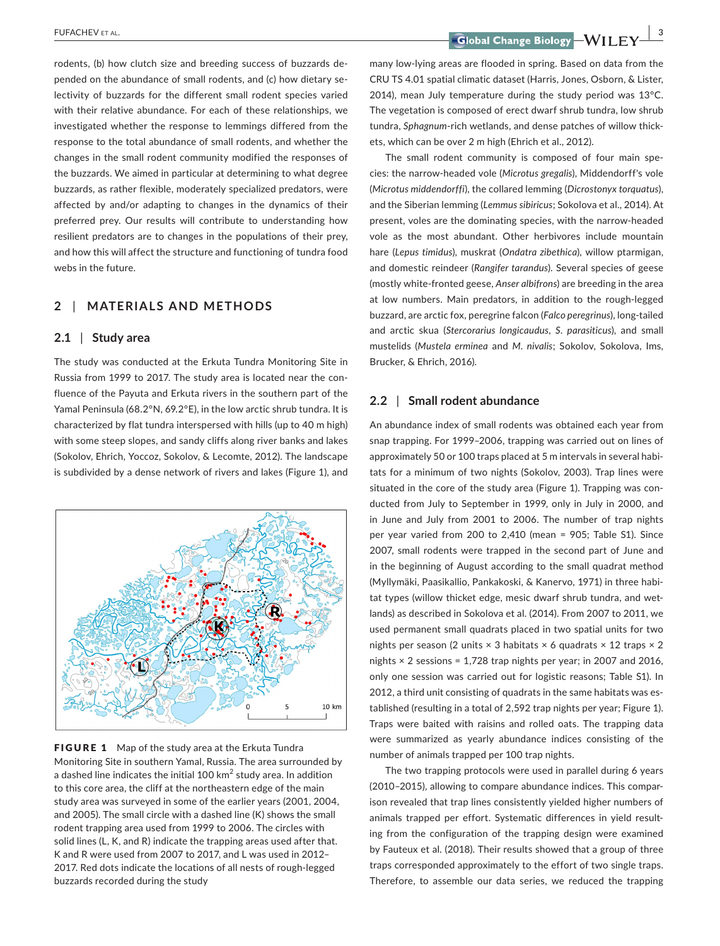rodents, (b) how clutch size and breeding success of buzzards de‐ pended on the abundance of small rodents, and (c) how dietary selectivity of buzzards for the different small rodent species varied with their relative abundance. For each of these relationships, we investigated whether the response to lemmings differed from the response to the total abundance of small rodents, and whether the changes in the small rodent community modified the responses of the buzzards. We aimed in particular at determining to what degree buzzards, as rather flexible, moderately specialized predators, were affected by and/or adapting to changes in the dynamics of their preferred prey. Our results will contribute to understanding how resilient predators are to changes in the populations of their prey, and how this will affect the structure and functioning of tundra food webs in the future.

# **2** | **MATERIALS AND METHODS**

## **2.1** | **Study area**

The study was conducted at the Erkuta Tundra Monitoring Site in Russia from 1999 to 2017. The study area is located near the con‐ fluence of the Payuta and Erkuta rivers in the southern part of the Yamal Peninsula (68.2°N, 69.2°E), in the low arctic shrub tundra. It is characterized by flat tundra interspersed with hills (up to 40 m high) with some steep slopes, and sandy cliffs along river banks and lakes (Sokolov, Ehrich, Yoccoz, Sokolov, & Lecomte, 2012). The landscape is subdivided by a dense network of rivers and lakes (Figure 1), and



FIGURE 1 Map of the study area at the Erkuta Tundra Monitoring Site in southern Yamal, Russia. The area surrounded by a dashed line indicates the initial 100  $km^2$  study area. In addition to this core area, the cliff at the northeastern edge of the main study area was surveyed in some of the earlier years (2001, 2004, and 2005). The small circle with a dashed line (K) shows the small rodent trapping area used from 1999 to 2006. The circles with solid lines (L, K, and R) indicate the trapping areas used after that. K and R were used from 2007 to 2017, and L was used in 2012– 2017. Red dots indicate the locations of all nests of rough‐legged buzzards recorded during the study

 **FUFACHEV** ET AL.  **2008 THE CONSTRUCTER OF A SET ALL ASSESSED AS A SET AND RELEASE OF A SET ALL AND RELEASE OF A SET AND RELEASE OF A SET AND RELEASE OF A SET AND RELEASE OF A SET AND RELEASE OF A SET AND RELEASE OF A SE** 

many low‐lying areas are flooded in spring. Based on data from the CRU TS 4.01 spatial climatic dataset (Harris, Jones, Osborn, & Lister, 2014), mean July temperature during the study period was 13°C. The vegetation is composed of erect dwarf shrub tundra, low shrub tundra, *Sphagnum*‐rich wetlands, and dense patches of willow thick‐ ets, which can be over 2 m high (Ehrich et al., 2012).

The small rodent community is composed of four main spe‐ cies: the narrow‐headed vole (*Microtus gregalis*), Middendorff's vole (*Microtus middendorffi*), the collared lemming (*Dicrostonyx torquatus*), and the Siberian lemming (*Lemmus sibiricus*; Sokolova et al., 2014). At present, voles are the dominating species, with the narrow‐headed vole as the most abundant. Other herbivores include mountain hare (*Lepus timidus*), muskrat (*Ondatra zibethica*), willow ptarmigan, and domestic reindeer (*Rangifer tarandus*). Several species of geese (mostly white‐fronted geese, *Anser albifrons*) are breeding in the area at low numbers. Main predators, in addition to the rough‐legged buzzard, are arctic fox, peregrine falcon (*Falco peregrinus*), long‐tailed and arctic skua (*Stercorarius longicaudus*, *S. parasiticus*), and small mustelids (*Mustela erminea* and *M. nivalis*; Sokolov, Sokolova, Ims, Brucker, & Ehrich, 2016).

## **2.2** | **Small rodent abundance**

An abundance index of small rodents was obtained each year from snap trapping. For 1999–2006, trapping was carried out on lines of approximately 50 or 100 traps placed at 5 m intervals in several habi‐ tats for a minimum of two nights (Sokolov, 2003). Trap lines were situated in the core of the study area (Figure 1). Trapping was con‐ ducted from July to September in 1999, only in July in 2000, and in June and July from 2001 to 2006. The number of trap nights per year varied from 200 to 2,410 (mean = 905; Table S1). Since 2007, small rodents were trapped in the second part of June and in the beginning of August according to the small quadrat method (Myllymäki, Paasikallio, Pankakoski, & Kanervo, 1971) in three habi‐ tat types (willow thicket edge, mesic dwarf shrub tundra, and wet‐ lands) as described in Sokolova et al. (2014). From 2007 to 2011, we used permanent small quadrats placed in two spatial units for two nights per season (2 units  $\times$  3 habitats  $\times$  6 quadrats  $\times$  12 traps  $\times$  2 nights × 2 sessions = 1,728 trap nights per year; in 2007 and 2016, only one session was carried out for logistic reasons; Table S1). In 2012, a third unit consisting of quadrats in the same habitats was es‐ tablished (resulting in a total of 2,592 trap nights per year; Figure 1). Traps were baited with raisins and rolled oats. The trapping data were summarized as yearly abundance indices consisting of the number of animals trapped per 100 trap nights.

The two trapping protocols were used in parallel during 6 years (2010–2015), allowing to compare abundance indices. This compar‐ ison revealed that trap lines consistently yielded higher numbers of animals trapped per effort. Systematic differences in yield result‐ ing from the configuration of the trapping design were examined by Fauteux et al. (2018). Their results showed that a group of three traps corresponded approximately to the effort of two single traps. Therefore, to assemble our data series, we reduced the trapping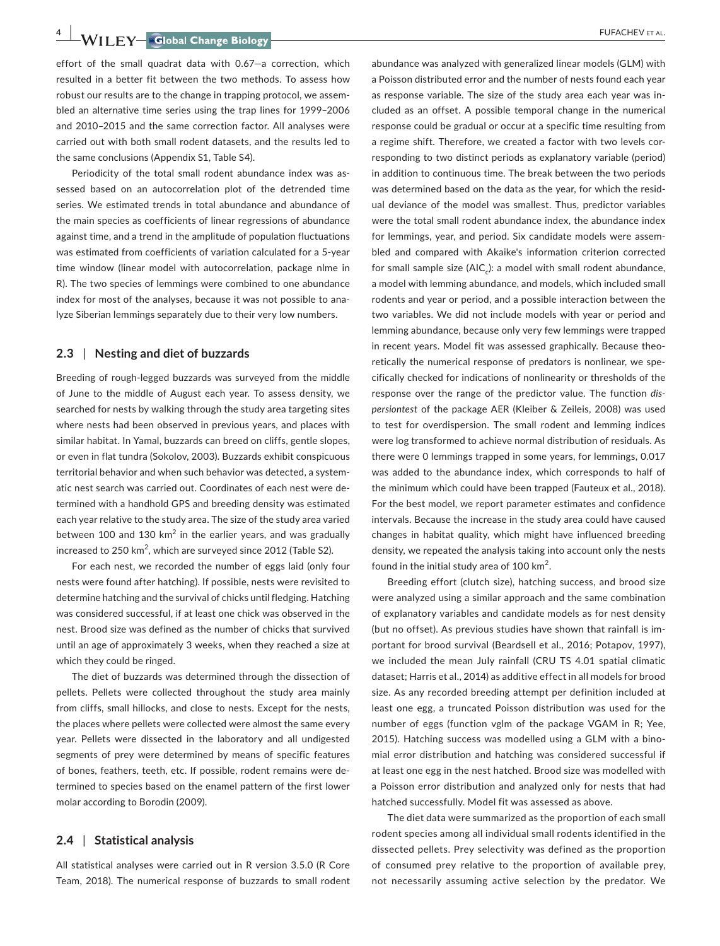**4 |**  FUFACHEV et al.

effort of the small quadrat data with 0.67—a correction, which resulted in a better fit between the two methods. To assess how robust our results are to the change in trapping protocol, we assem‐ bled an alternative time series using the trap lines for 1999–2006 and 2010–2015 and the same correction factor. All analyses were carried out with both small rodent datasets, and the results led to the same conclusions (Appendix S1, Table S4).

Periodicity of the total small rodent abundance index was as‐ sessed based on an autocorrelation plot of the detrended time series. We estimated trends in total abundance and abundance of the main species as coefficients of linear regressions of abundance against time, and a trend in the amplitude of population fluctuations was estimated from coefficients of variation calculated for a 5‐year time window (linear model with autocorrelation, package nlme in R). The two species of lemmings were combined to one abundance index for most of the analyses, because it was not possible to ana‐ lyze Siberian lemmings separately due to their very low numbers.

#### **2.3** | **Nesting and diet of buzzards**

Breeding of rough‐legged buzzards was surveyed from the middle of June to the middle of August each year. To assess density, we searched for nests by walking through the study area targeting sites where nests had been observed in previous years, and places with similar habitat. In Yamal, buzzards can breed on cliffs, gentle slopes, or even in flat tundra (Sokolov, 2003). Buzzards exhibit conspicuous territorial behavior and when such behavior was detected, a system‐ atic nest search was carried out. Coordinates of each nest were de‐ termined with a handhold GPS and breeding density was estimated each year relative to the study area. The size of the study area varied between 100 and 130  $km^2$  in the earlier years, and was gradually increased to 250 km $^2$ , which are surveyed since 2012 (Table S2).

For each nest, we recorded the number of eggs laid (only four nests were found after hatching). If possible, nests were revisited to determine hatching and the survival of chicks until fledging. Hatching was considered successful, if at least one chick was observed in the nest. Brood size was defined as the number of chicks that survived until an age of approximately 3 weeks, when they reached a size at which they could be ringed.

The diet of buzzards was determined through the dissection of pellets. Pellets were collected throughout the study area mainly from cliffs, small hillocks, and close to nests. Except for the nests, the places where pellets were collected were almost the same every year. Pellets were dissected in the laboratory and all undigested segments of prey were determined by means of specific features of bones, feathers, teeth, etc. If possible, rodent remains were de‐ termined to species based on the enamel pattern of the first lower molar according to Borodin (2009).

## **2.4** | **Statistical analysis**

All statistical analyses were carried out in R version 3.5.0 (R Core Team, 2018). The numerical response of buzzards to small rodent

abundance was analyzed with generalized linear models (GLM) with a Poisson distributed error and the number of nests found each year as response variable. The size of the study area each year was in‐ cluded as an offset. A possible temporal change in the numerical response could be gradual or occur at a specific time resulting from a regime shift. Therefore, we created a factor with two levels corresponding to two distinct periods as explanatory variable (period) in addition to continuous time. The break between the two periods was determined based on the data as the year, for which the resid‐ ual deviance of the model was smallest. Thus, predictor variables were the total small rodent abundance index, the abundance index for lemmings, year, and period. Six candidate models were assem‐ bled and compared with Akaike's information criterion corrected for small sample size ( $AIC$ ): a model with small rodent abundance, a model with lemming abundance, and models, which included small rodents and year or period, and a possible interaction between the two variables. We did not include models with year or period and lemming abundance, because only very few lemmings were trapped in recent years. Model fit was assessed graphically. Because theoretically the numerical response of predators is nonlinear, we spe‐ cifically checked for indications of nonlinearity or thresholds of the response over the range of the predictor value. The function *dis‐ persiontest* of the package AER (Kleiber & Zeileis, 2008) was used to test for overdispersion. The small rodent and lemming indices were log transformed to achieve normal distribution of residuals. As there were 0 lemmings trapped in some years, for lemmings, 0.017 was added to the abundance index, which corresponds to half of the minimum which could have been trapped (Fauteux et al., 2018). For the best model, we report parameter estimates and confidence intervals. Because the increase in the study area could have caused changes in habitat quality, which might have influenced breeding density, we repeated the analysis taking into account only the nests found in the initial study area of  $100 \text{ km}^2$ .

Breeding effort (clutch size), hatching success, and brood size were analyzed using a similar approach and the same combination of explanatory variables and candidate models as for nest density (but no offset). As previous studies have shown that rainfall is im‐ portant for brood survival (Beardsell et al., 2016; Potapov, 1997), we included the mean July rainfall (CRU TS 4.01 spatial climatic dataset; Harris et al., 2014) as additive effect in all models for brood size. As any recorded breeding attempt per definition included at least one egg, a truncated Poisson distribution was used for the number of eggs (function vglm of the package VGAM in R; Yee, 2015). Hatching success was modelled using a GLM with a bino‐ mial error distribution and hatching was considered successful if at least one egg in the nest hatched. Brood size was modelled with a Poisson error distribution and analyzed only for nests that had hatched successfully. Model fit was assessed as above.

The diet data were summarized as the proportion of each small rodent species among all individual small rodents identified in the dissected pellets. Prey selectivity was defined as the proportion of consumed prey relative to the proportion of available prey, not necessarily assuming active selection by the predator. We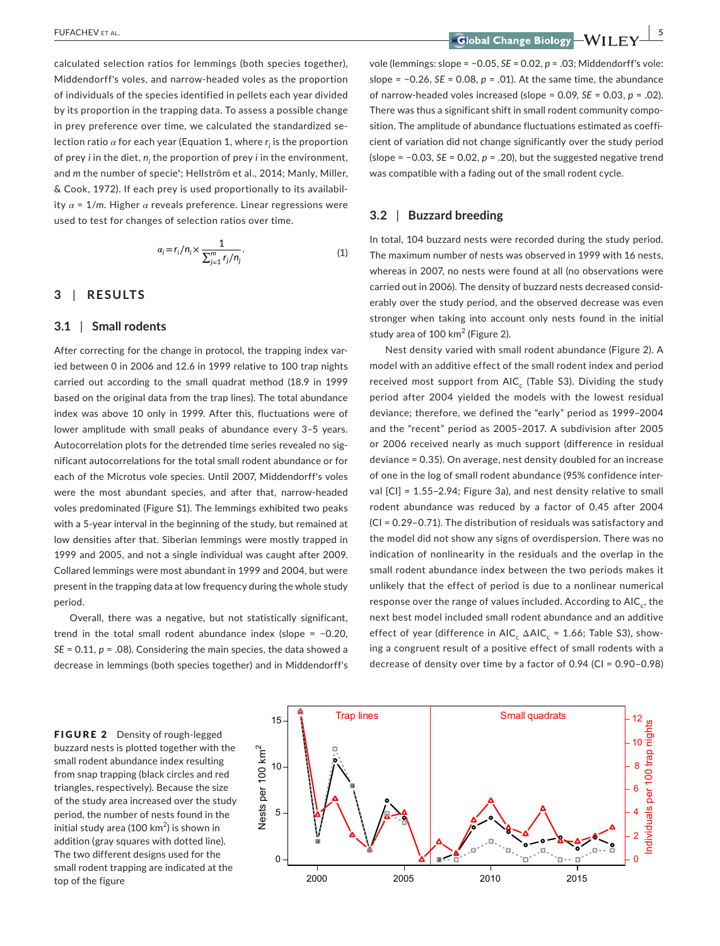calculated selection ratios for lemmings (both species together), Middendorff's voles, and narrow‐headed voles as the proportion of individuals of the species identified in pellets each year divided by its proportion in the trapping data. To assess a possible change in prey preference over time, we calculated the standardized selection ratio *α* for each year (Equation 1, where *ri* is the proportion of prey *i* in the diet, *ni* the proportion of prey *i* in the environment, and *m* the number of specie<sup>s</sup>; Hellström et al., 2014; Manly, Miller, & Cook, 1972). If each prey is used proportionally to its availabil‐ ity *α* = 1/*m*. Higher *α* reveals preference. Linear regressions were used to test for changes of selection ratios over time.

$$
\alpha_i = r_i/n_i \times \frac{1}{\sum_{j=1}^m r_j/n_j}.\tag{1}
$$

## **3** | **RESULTS**

#### **3.1** | **Small rodents**

After correcting for the change in protocol, the trapping index varied between 0 in 2006 and 12.6 in 1999 relative to 100 trap nights carried out according to the small quadrat method (18.9 in 1999 based on the original data from the trap lines). The total abundance index was above 10 only in 1999. After this, fluctuations were of lower amplitude with small peaks of abundance every 3–5 years. Autocorrelation plots for the detrended time series revealed no sig‐ nificant autocorrelations for the total small rodent abundance or for each of the Microtus vole species. Until 2007, Middendorff's voles were the most abundant species, and after that, narrow‐headed voles predominated (Figure S1). The lemmings exhibited two peaks with a 5-year interval in the beginning of the study, but remained at low densities after that. Siberian lemmings were mostly trapped in 1999 and 2005, and not a single individual was caught after 2009. Collared lemmings were most abundant in 1999 and 2004, but were present in the trapping data at low frequency during the whole study period.

Overall, there was a negative, but not statistically significant, trend in the total small rodent abundance index (slope = −0.20, *SE* = 0.11, *p* = .08). Considering the main species, the data showed a decrease in lemmings (both species together) and in Middendorff's

 **FUFACHEV** ET AL.

vole (lemmings: slope = −0.05, *SE* = 0.02, *p* = .03; Middendorff's vole: slope = −0.26, *SE* = 0.08, *p* = .01). At the same time, the abundance of narrow‐headed voles increased (slope = 0.09, *SE* = 0.03, *p* = .02). There was thus a significant shift in small rodent community compo‐ sition. The amplitude of abundance fluctuations estimated as coefficient of variation did not change significantly over the study period (slope = −0.03, *SE* = 0.02, *p* = .20), but the suggested negative trend was compatible with a fading out of the small rodent cycle.

## **3.2** | **Buzzard breeding**

In total, 104 buzzard nests were recorded during the study period. The maximum number of nests was observed in 1999 with 16 nests, whereas in 2007, no nests were found at all (no observations were carried out in 2006). The density of buzzard nests decreased consid‐ erably over the study period, and the observed decrease was even stronger when taking into account only nests found in the initial study area of 100  $km^2$  (Figure 2).

Nest density varied with small rodent abundance (Figure 2). A model with an additive effect of the small rodent index and period received most support from  $AIC_c$  (Table S3). Dividing the study period after 2004 yielded the models with the lowest residual deviance; therefore, we defined the "early" period as 1999–2004 and the "recent" period as 2005–2017. A subdivision after 2005 or 2006 received nearly as much support (difference in residual deviance = 0.35). On average, nest density doubled for an increase of one in the log of small rodent abundance (95% confidence inter‐ val [CI] = 1.55–2.94; Figure 3a), and nest density relative to small rodent abundance was reduced by a factor of 0.45 after 2004 (CI = 0.29–0.71). The distribution of residuals was satisfactory and the model did not show any signs of overdispersion. There was no indication of nonlinearity in the residuals and the overlap in the small rodent abundance index between the two periods makes it unlikely that the effect of period is due to a nonlinear numerical response over the range of values included. According to AIC<sub>c</sub>, the next best model included small rodent abundance and an additive effect of year (difference in AIC<sub>c</sub>  $\triangle$ AIC<sub>c</sub> = 1.66; Table S3), showing a congruent result of a positive effect of small rodents with a decrease of density over time by a factor of 0.94 (CI = 0.90–0.98)



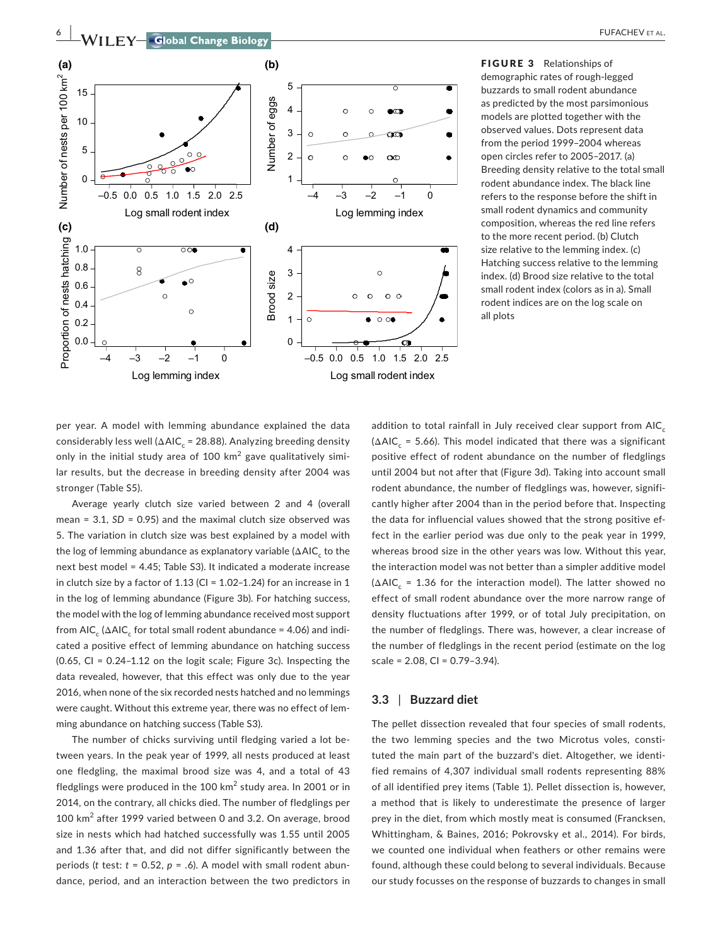

FIGURE 3 Relationships of demographic rates of rough‐legged buzzards to small rodent abundance as predicted by the most parsimonious models are plotted together with the observed values. Dots represent data from the period 1999–2004 whereas open circles refer to 2005–2017. (a) Breeding density relative to the total small rodent abundance index. The black line refers to the response before the shift in small rodent dynamics and community composition, whereas the red line refers to the more recent period. (b) Clutch size relative to the lemming index. (c) Hatching success relative to the lemming index. (d) Brood size relative to the total small rodent index (colors as in a). Small rodent indices are on the log scale on all plots

per year. A model with lemming abundance explained the data considerably less well ( $\Delta AIC_c$  = 28.88). Analyzing breeding density only in the initial study area of 100  $km^2$  gave qualitatively similar results, but the decrease in breeding density after 2004 was stronger (Table S5).

Average yearly clutch size varied between 2 and 4 (overall mean = 3.1, *SD* = 0.95) and the maximal clutch size observed was 5. The variation in clutch size was best explained by a model with the log of lemming abundance as explanatory variable  $(\Delta AIC_{c})$  to the next best model = 4.45; Table S3). It indicated a moderate increase in clutch size by a factor of 1.13 (CI =  $1.02-1.24$ ) for an increase in 1 in the log of lemming abundance (Figure 3b). For hatching success, the model with the log of lemming abundance received most support from AIC<sub>c</sub> ( $\triangle$ AIC<sub>c</sub> for total small rodent abundance = 4.06) and indicated a positive effect of lemming abundance on hatching success (0.65, CI = 0.24–1.12 on the logit scale; Figure 3c). Inspecting the data revealed, however, that this effect was only due to the year 2016, when none of the six recorded nests hatched and no lemmings were caught. Without this extreme year, there was no effect of lem‐ ming abundance on hatching success (Table S3).

The number of chicks surviving until fledging varied a lot be‐ tween years. In the peak year of 1999, all nests produced at least one fledgling, the maximal brood size was 4, and a total of 43 fledglings were produced in the 100  $km^2$  study area. In 2001 or in 2014, on the contrary, all chicks died. The number of fledglings per 100 km<sup>2</sup> after 1999 varied between 0 and 3.2. On average, brood size in nests which had hatched successfully was 1.55 until 2005 and 1.36 after that, and did not differ significantly between the periods (*t* test: *t* = 0.52, *p* = .6). A model with small rodent abun‐ dance, period, and an interaction between the two predictors in

addition to total rainfall in July received clear support from  $AIC_c$  $(\Delta AIC_c = 5.66)$ . This model indicated that there was a significant positive effect of rodent abundance on the number of fledglings until 2004 but not after that (Figure 3d). Taking into account small rodent abundance, the number of fledglings was, however, signifi‐ cantly higher after 2004 than in the period before that. Inspecting the data for influencial values showed that the strong positive ef‐ fect in the earlier period was due only to the peak year in 1999, whereas brood size in the other years was low. Without this year, the interaction model was not better than a simpler additive model  $(\Delta AIC_{c} = 1.36$  for the interaction model). The latter showed no effect of small rodent abundance over the more narrow range of density fluctuations after 1999, or of total July precipitation, on the number of fledglings. There was, however, a clear increase of the number of fledglings in the recent period (estimate on the log scale = 2.08, CI = 0.79–3.94).

#### **3.3** | **Buzzard diet**

The pellet dissection revealed that four species of small rodents, the two lemming species and the two Microtus voles, consti‐ tuted the main part of the buzzard's diet. Altogether, we identi‐ fied remains of 4,307 individual small rodents representing 88% of all identified prey items (Table 1). Pellet dissection is, however, a method that is likely to underestimate the presence of larger prey in the diet, from which mostly meat is consumed (Francksen, Whittingham, & Baines, 2016; Pokrovsky et al., 2014). For birds, we counted one individual when feathers or other remains were found, although these could belong to several individuals. Because our study focusses on the response of buzzards to changes in small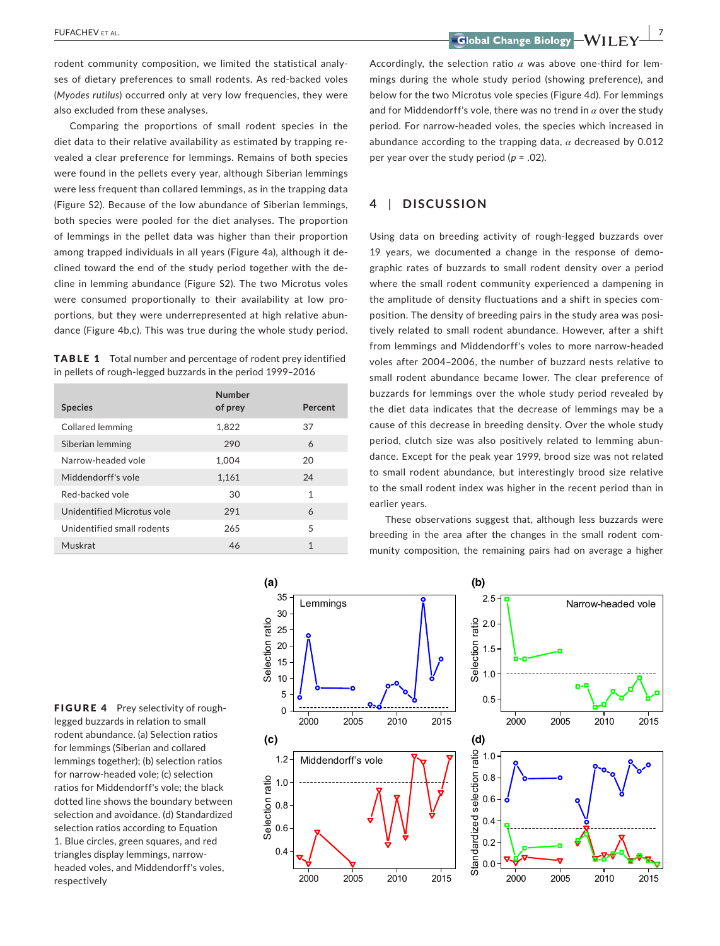**|** FUFACHEV et al. **7**

rodent community composition, we limited the statistical analy‐ ses of dietary preferences to small rodents. As red-backed voles (*Myodes rutilus*) occurred only at very low frequencies, they were also excluded from these analyses.

Comparing the proportions of small rodent species in the diet data to their relative availability as estimated by trapping re‐ vealed a clear preference for lemmings. Remains of both species were found in the pellets every year, although Siberian lemmings were less frequent than collared lemmings, as in the trapping data (Figure S2). Because of the low abundance of Siberian lemmings, both species were pooled for the diet analyses. The proportion of lemmings in the pellet data was higher than their proportion among trapped individuals in all years (Figure 4a), although it de‐ clined toward the end of the study period together with the de‐ cline in lemming abundance (Figure S2). The two Microtus voles were consumed proportionally to their availability at low proportions, but they were underrepresented at high relative abun‐ dance (Figure 4b,c). This was true during the whole study period.

TABLE 1 Total number and percentage of rodent prey identified in pellets of rough‐legged buzzards in the period 1999–2016

| Number |              |
|--------|--------------|
|        | Percent      |
| 1,822  | 37           |
| 290    | 6            |
| 1,004  | 20           |
| 1,161  | 24           |
| 30     | 1            |
| 291    | 6            |
| 265    | 5            |
| 46     | $\mathbf{1}$ |
|        | of prey      |

Accordingly, the selection ratio  $\alpha$  was above one-third for lemmings during the whole study period (showing preference), and below for the two Microtus vole species (Figure 4d). For lemmings and for Middendorff's vole, there was no trend in *α* over the study period. For narrow‐headed voles, the species which increased in abundance according to the trapping data, *α* decreased by 0.012 per year over the study period (*p* = .02).

# **4** | **DISCUSSION**

Using data on breeding activity of rough‐legged buzzards over 19 years, we documented a change in the response of demo‐ graphic rates of buzzards to small rodent density over a period where the small rodent community experienced a dampening in the amplitude of density fluctuations and a shift in species com‐ position. The density of breeding pairs in the study area was posi‐ tively related to small rodent abundance. However, after a shift from lemmings and Middendorff's voles to more narrow‐headed voles after 2004–2006, the number of buzzard nests relative to small rodent abundance became lower. The clear preference of buzzards for lemmings over the whole study period revealed by the diet data indicates that the decrease of lemmings may be a cause of this decrease in breeding density. Over the whole study period, clutch size was also positively related to lemming abun‐ dance. Except for the peak year 1999, brood size was not related to small rodent abundance, but interestingly brood size relative to the small rodent index was higher in the recent period than in earlier years.

These observations suggest that, although less buzzards were breeding in the area after the changes in the small rodent community composition, the remaining pairs had on average a higher

FIGURE 4 Prey selectivity of roughlegged buzzards in relation to small rodent abundance. (a) Selection ratios for lemmings (Siberian and collared lemmings together); (b) selection ratios for narrow‐headed vole; (c) selection ratios for Middendorff's vole; the black dotted line shows the boundary between selection and avoidance. (d) Standardized selection ratios according to Equation 1. Blue circles, green squares, and red triangles display lemmings, narrow‐ headed voles, and Middendorff's voles, respectively

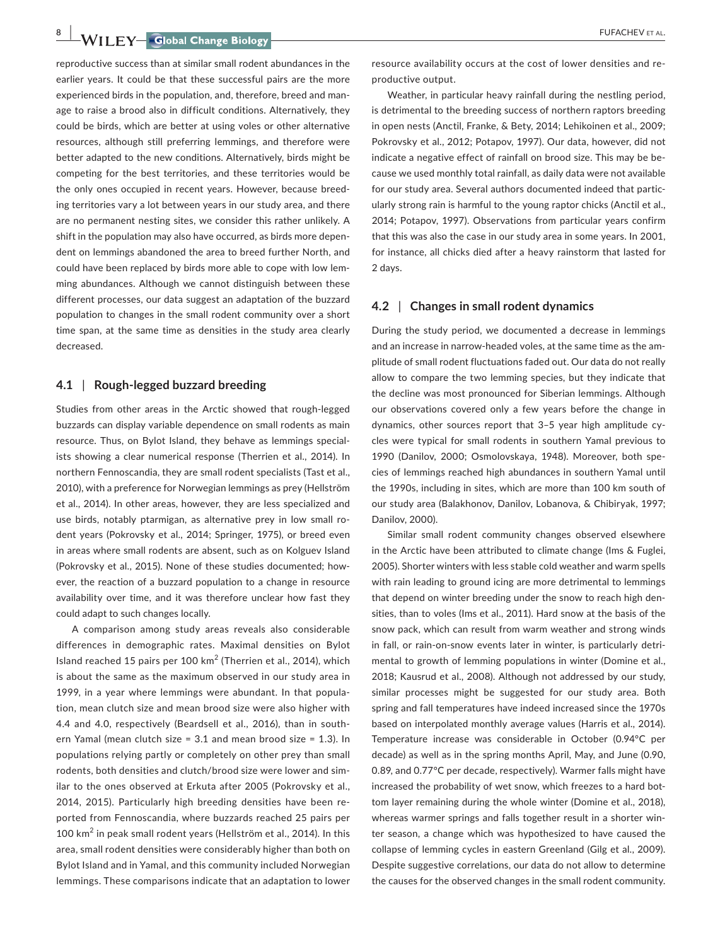**8 |**  FUFACHEV et al.

reproductive success than at similar small rodent abundances in the earlier years. It could be that these successful pairs are the more experienced birds in the population, and, therefore, breed and manage to raise a brood also in difficult conditions. Alternatively, they could be birds, which are better at using voles or other alternative resources, although still preferring lemmings, and therefore were better adapted to the new conditions. Alternatively, birds might be competing for the best territories, and these territories would be the only ones occupied in recent years. However, because breed‐ ing territories vary a lot between years in our study area, and there are no permanent nesting sites, we consider this rather unlikely. A shift in the population may also have occurred, as birds more depen‐ dent on lemmings abandoned the area to breed further North, and

could have been replaced by birds more able to cope with low lem‐ ming abundances. Although we cannot distinguish between these different processes, our data suggest an adaptation of the buzzard population to changes in the small rodent community over a short time span, at the same time as densities in the study area clearly decreased.

#### **4.1** | **Rough‐legged buzzard breeding**

Studies from other areas in the Arctic showed that rough‐legged buzzards can display variable dependence on small rodents as main resource. Thus, on Bylot Island, they behave as lemmings special‐ ists showing a clear numerical response (Therrien et al., 2014). In northern Fennoscandia, they are small rodent specialists (Tast et al., 2010), with a preference for Norwegian lemmings as prey (Hellström et al., 2014). In other areas, however, they are less specialized and use birds, notably ptarmigan, as alternative prey in low small rodent years (Pokrovsky et al., 2014; Springer, 1975), or breed even in areas where small rodents are absent, such as on Kolguev Island (Pokrovsky et al., 2015). None of these studies documented; how‐ ever, the reaction of a buzzard population to a change in resource availability over time, and it was therefore unclear how fast they could adapt to such changes locally.

A comparison among study areas reveals also considerable differences in demographic rates. Maximal densities on Bylot Island reached 15 pairs per 100 km<sup>2</sup> (Therrien et al., 2014), which is about the same as the maximum observed in our study area in 1999, in a year where lemmings were abundant. In that popula‐ tion, mean clutch size and mean brood size were also higher with 4.4 and 4.0, respectively (Beardsell et al., 2016), than in south‐ ern Yamal (mean clutch size = 3.1 and mean brood size = 1.3). In populations relying partly or completely on other prey than small rodents, both densities and clutch/brood size were lower and sim‐ ilar to the ones observed at Erkuta after 2005 (Pokrovsky et al., 2014, 2015). Particularly high breeding densities have been re‐ ported from Fennoscandia, where buzzards reached 25 pairs per 100 km<sup>2</sup> in peak small rodent years (Hellström et al., 2014). In this area, small rodent densities were considerably higher than both on Bylot Island and in Yamal, and this community included Norwegian lemmings. These comparisons indicate that an adaptation to lower

resource availability occurs at the cost of lower densities and re‐ productive output.

Weather, in particular heavy rainfall during the nestling period, is detrimental to the breeding success of northern raptors breeding in open nests (Anctil, Franke, & Bety, 2014; Lehikoinen et al., 2009; Pokrovsky et al., 2012; Potapov, 1997). Our data, however, did not indicate a negative effect of rainfall on brood size. This may be be‐ cause we used monthly total rainfall, as daily data were not available for our study area. Several authors documented indeed that partic‐ ularly strong rain is harmful to the young raptor chicks (Anctil et al., 2014; Potapov, 1997). Observations from particular years confirm that this was also the case in our study area in some years. In 2001, for instance, all chicks died after a heavy rainstorm that lasted for 2 days.

## **4.2** | **Changes in small rodent dynamics**

During the study period, we documented a decrease in lemmings and an increase in narrow-headed voles, at the same time as the amplitude of small rodent fluctuations faded out. Our data do not really allow to compare the two lemming species, but they indicate that the decline was most pronounced for Siberian lemmings. Although our observations covered only a few years before the change in dynamics, other sources report that 3–5 year high amplitude cy‐ cles were typical for small rodents in southern Yamal previous to 1990 (Danilov, 2000; Osmolovskaya, 1948). Moreover, both spe‐ cies of lemmings reached high abundances in southern Yamal until the 1990s, including in sites, which are more than 100 km south of our study area (Balakhonov, Danilov, Lobanova, & Chibiryak, 1997; Danilov, 2000).

Similar small rodent community changes observed elsewhere in the Arctic have been attributed to climate change (Ims & Fuglei, 2005). Shorter winters with less stable cold weather and warm spells with rain leading to ground icing are more detrimental to lemmings that depend on winter breeding under the snow to reach high den‐ sities, than to voles (Ims et al., 2011). Hard snow at the basis of the snow pack, which can result from warm weather and strong winds in fall, or rain‐on‐snow events later in winter, is particularly detri‐ mental to growth of lemming populations in winter (Domine et al., 2018; Kausrud et al., 2008). Although not addressed by our study, similar processes might be suggested for our study area. Both spring and fall temperatures have indeed increased since the 1970s based on interpolated monthly average values (Harris et al., 2014). Temperature increase was considerable in October (0.94°C per decade) as well as in the spring months April, May, and June (0.90, 0.89, and 0.77°C per decade, respectively). Warmer falls might have increased the probability of wet snow, which freezes to a hard bottom layer remaining during the whole winter (Domine et al., 2018), whereas warmer springs and falls together result in a shorter winter season, a change which was hypothesized to have caused the collapse of lemming cycles in eastern Greenland (Gilg et al., 2009). Despite suggestive correlations, our data do not allow to determine the causes for the observed changes in the small rodent community.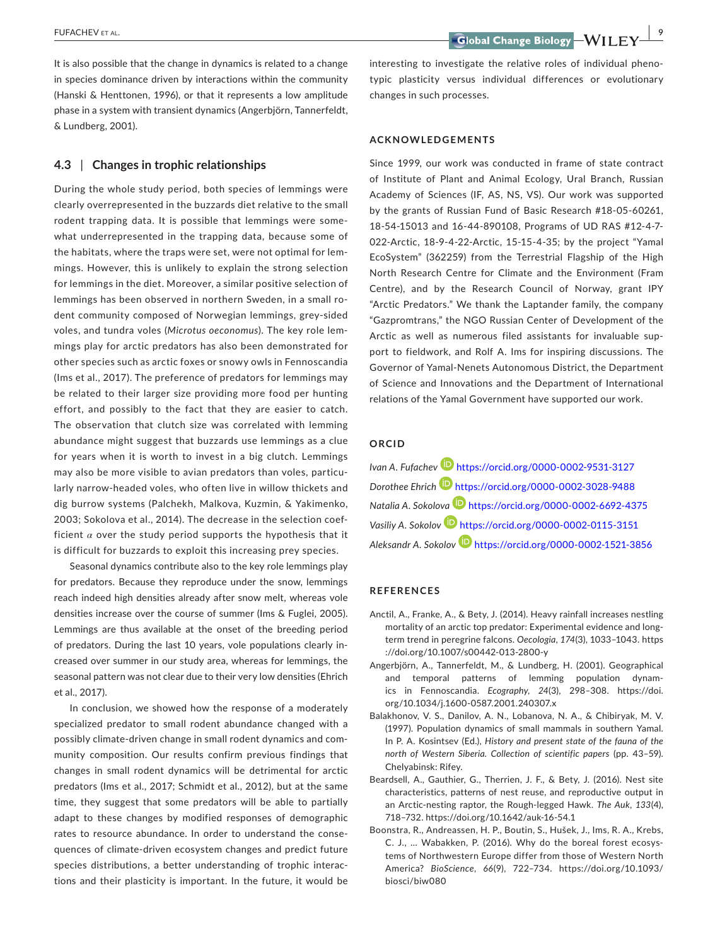It is also possible that the change in dynamics is related to a change in species dominance driven by interactions within the community (Hanski & Henttonen, 1996), or that it represents a low amplitude phase in a system with transient dynamics (Angerbjörn, Tannerfeldt, & Lundberg, 2001).

#### **4.3** | **Changes in trophic relationships**

During the whole study period, both species of lemmings were clearly overrepresented in the buzzards diet relative to the small rodent trapping data. It is possible that lemmings were some‐ what underrepresented in the trapping data, because some of the habitats, where the traps were set, were not optimal for lem‐ mings. However, this is unlikely to explain the strong selection for lemmings in the diet. Moreover, a similar positive selection of lemmings has been observed in northern Sweden, in a small ro‐ dent community composed of Norwegian lemmings, grey‐sided voles, and tundra voles (*Microtus oeconomus*). The key role lem‐ mings play for arctic predators has also been demonstrated for other species such as arctic foxes or snowy owls in Fennoscandia (Ims et al., 2017). The preference of predators for lemmings may be related to their larger size providing more food per hunting effort, and possibly to the fact that they are easier to catch. The observation that clutch size was correlated with lemming abundance might suggest that buzzards use lemmings as a clue for years when it is worth to invest in a big clutch. Lemmings may also be more visible to avian predators than voles, particu‐ larly narrow‐headed voles, who often live in willow thickets and dig burrow systems (Palchekh, Malkova, Kuzmin, & Yakimenko, 2003; Sokolova et al., 2014). The decrease in the selection coef‐ ficient  $\alpha$  over the study period supports the hypothesis that it is difficult for buzzards to exploit this increasing prey species.

Seasonal dynamics contribute also to the key role lemmings play for predators. Because they reproduce under the snow, lemmings reach indeed high densities already after snow melt, whereas vole densities increase over the course of summer (Ims & Fuglei, 2005). Lemmings are thus available at the onset of the breeding period of predators. During the last 10 years, vole populations clearly in‐ creased over summer in our study area, whereas for lemmings, the seasonal pattern was not clear due to their very low densities (Ehrich et al., 2017).

In conclusion, we showed how the response of a moderately specialized predator to small rodent abundance changed with a possibly climate‐driven change in small rodent dynamics and com‐ munity composition. Our results confirm previous findings that changes in small rodent dynamics will be detrimental for arctic predators (Ims et al., 2017; Schmidt et al., 2012), but at the same time, they suggest that some predators will be able to partially adapt to these changes by modified responses of demographic rates to resource abundance. In order to understand the conse‐ quences of climate‐driven ecosystem changes and predict future species distributions, a better understanding of trophic interactions and their plasticity is important. In the future, it would be

interesting to investigate the relative roles of individual phenotypic plasticity versus individual differences or evolutionary changes in such processes.

#### **ACKNOWLEDGEMENTS**

Since 1999, our work was conducted in frame of state contract of Institute of Plant and Animal Ecology, Ural Branch, Russian Academy of Sciences (IF, AS, NS, VS). Our work was supported by the grants of Russian Fund of Basic Research #18‐05‐60261, 18-54-15013 and 16‐44‐890108, Programs of UD RAS #12‐4‐7‐ 022‐Arctic, 18‐9‐4‐22‐Arctic, 15‐15‐4‐35; by the project "Yamal EcoSystem" (362259) from the Terrestrial Flagship of the High North Research Centre for Climate and the Environment (Fram Centre), and by the Research Council of Norway, grant IPY "Arctic Predators." We thank the Laptander family, the company "Gazpromtrans," the NGO Russian Center of Development of the Arctic as well as numerous filed assistants for invaluable sup‐ port to fieldwork, and Rolf A. Ims for inspiring discussions. The Governor of Yamal‐Nenets Autonomous District, the Department of Science and Innovations and the Department of International relations of the Yamal Government have supported our work.

#### **ORCID**

*Ivan A. Fufachev* **D** <https://orcid.org/0000-0002-9531-3127> *Dorothee Ehrich* <https://orcid.org/0000-0002-3028-9488> *Natalia A. Sokolov[a](https://orcid.org/0000-0002-6692-4375)* <https://orcid.org/0000-0002-6692-4375> *Vasiliy A. Sokolo[v](https://orcid.org/0000-0002-0115-3151)* <https://orcid.org/0000-0002-0115-3151> *Aleksandr A. Sokolov* <https://orcid.org/0000-0002-1521-3856>

#### **REFERENCES**

- Anctil, A., Franke, A., & Bety, J. (2014). Heavy rainfall increases nestling mortality of an arctic top predator: Experimental evidence and long‐ term trend in peregrine falcons. *Oecologia*, *174*(3), 1033–1043. [https](https://doi.org/10.1007/s00442-013-2800-y) [://doi.org/10.1007/s00442-013-2800-y](https://doi.org/10.1007/s00442-013-2800-y)
- Angerbjörn, A., Tannerfeldt, M., & Lundberg, H. (2001). Geographical and temporal patterns of lemming population dynam‐ ics in Fennoscandia. *Ecography*, *24*(3), 298–308. [https://doi.](https://doi.org/10.1034/j.1600-0587.2001.240307.x) [org/10.1034/j.1600-0587.2001.240307.x](https://doi.org/10.1034/j.1600-0587.2001.240307.x)
- Balakhonov, V. S., Danilov, A. N., Lobanova, N. A., & Chibiryak, M. V. (1997). Population dynamics of small mammals in southern Yamal. In P. A. Kosintsev (Ed.), *History and present state of the fauna of the north of Western Siberia. Collection of scientific papers* (pp. 43–59). Chelyabinsk: Rifey.
- Beardsell, A., Gauthier, G., Therrien, J. F., & Bety, J. (2016). Nest site characteristics, patterns of nest reuse, and reproductive output in an Arctic‐nesting raptor, the Rough‐legged Hawk. *The Auk*, *133*(4), 718–732. <https://doi.org/10.1642/auk-16-54.1>
- Boonstra, R., Andreassen, H. P., Boutin, S., Hušek, J., Ims, R. A., Krebs, C. J., … Wabakken, P. (2016). Why do the boreal forest ecosys‐ tems of Northwestern Europe differ from those of Western North America? *BioScience*, *66*(9), 722–734. [https://doi.org/10.1093/](https://doi.org/10.1093/biosci/biw080) [biosci/biw080](https://doi.org/10.1093/biosci/biw080)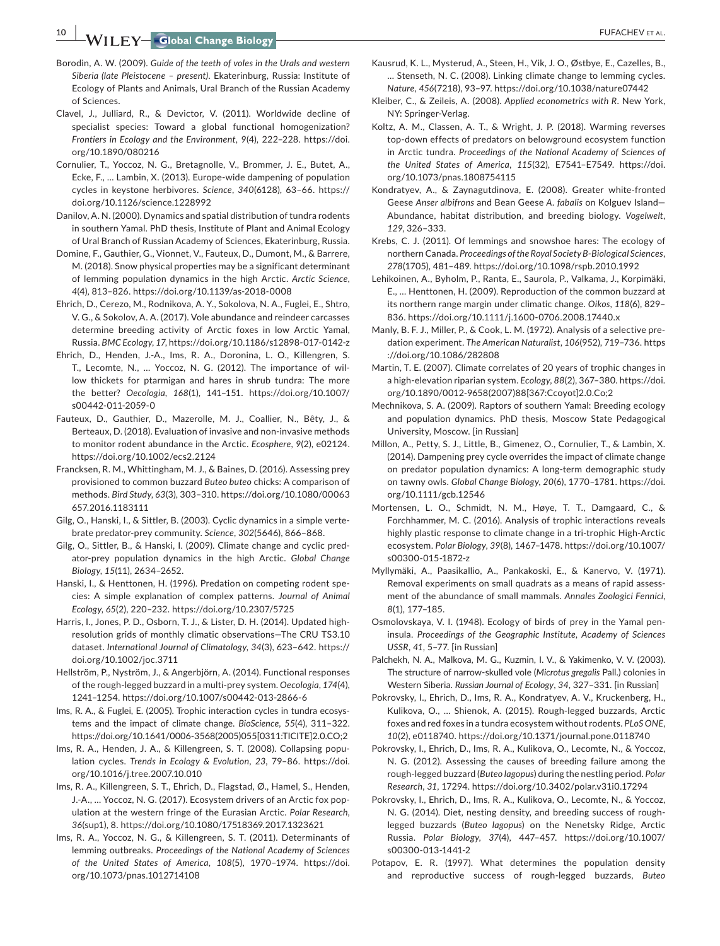**10 WILEY-Global Change Biology Research Control of the COVID-STAL.** 

- Borodin, A. W. (2009). *Guide of the teeth of voles in the Urals and western Siberia (late Pleistocene – present)*. Ekaterinburg, Russia: Institute of Ecology of Plants and Animals, Ural Branch of the Russian Academy of Sciences.
- Clavel, J., Julliard, R., & Devictor, V. (2011). Worldwide decline of specialist species: Toward a global functional homogenization? *Frontiers in Ecology and the Environment*, *9*(4), 222–228. [https://doi.](https://doi.org/10.1890/080216) [org/10.1890/080216](https://doi.org/10.1890/080216)
- Cornulier, T., Yoccoz, N. G., Bretagnolle, V., Brommer, J. E., Butet, A., Ecke, F., … Lambin, X. (2013). Europe‐wide dampening of population cycles in keystone herbivores. *Science*, *340*(6128), 63–66. [https://](https://doi.org/10.1126/science.1228992) [doi.org/10.1126/science.1228992](https://doi.org/10.1126/science.1228992)
- Danilov, A. N. (2000). Dynamics and spatial distribution of tundra rodents in southern Yamal. PhD thesis, Institute of Plant and Animal Ecology of Ural Branch of Russian Academy of Sciences, Ekaterinburg, Russia.
- Domine, F., Gauthier, G., Vionnet, V., Fauteux, D., Dumont, M., & Barrere, M. (2018). Snow physical properties may be a significant determinant of lemming population dynamics in the high Arctic. *Arctic Science*, *4*(4), 813–826. <https://doi.org/10.1139/as-2018-0008>
- Ehrich, D., Cerezo, M., Rodnikova, A. Y., Sokolova, N. A., Fuglei, E., Shtro, V. G., & Sokolov, A. A. (2017). Vole abundance and reindeer carcasses determine breeding activity of Arctic foxes in low Arctic Yamal, Russia. *BMC Ecology*, *17*, <https://doi.org/10.1186/s12898-017-0142-z>
- Ehrich, D., Henden, J.‐A., Ims, R. A., Doronina, L. O., Killengren, S. T., Lecomte, N., … Yoccoz, N. G. (2012). The importance of wil‐ low thickets for ptarmigan and hares in shrub tundra: The more the better? *Oecologia*, *168*(1), 141–151. [https://doi.org/10.1007/](https://doi.org/10.1007/s00442-011-2059-0) [s00442-011-2059-0](https://doi.org/10.1007/s00442-011-2059-0)
- Fauteux, D., Gauthier, D., Mazerolle, M. J., Coallier, N., Bêty, J., & Berteaux, D. (2018). Evaluation of invasive and non‐invasive methods to monitor rodent abundance in the Arctic. *Ecosphere*, *9*(2), e02124. <https://doi.org/10.1002/ecs2.2124>
- Francksen, R. M., Whittingham, M. J., & Baines, D. (2016). Assessing prey provisioned to common buzzard *Buteo buteo* chicks: A comparison of methods. *Bird Study*, *63*(3), 303–310. [https://doi.org/10.1080/00063](https://doi.org/10.1080/00063657.2016.1183111) [657.2016.1183111](https://doi.org/10.1080/00063657.2016.1183111)
- Gilg, O., Hanski, I., & Sittler, B. (2003). Cyclic dynamics in a simple verte‐ brate predator‐prey community. *Science*, *302*(5646), 866–868.
- Gilg, O., Sittler, B., & Hanski, I. (2009). Climate change and cyclic pred‐ ator‐prey population dynamics in the high Arctic. *Global Change Biology*, *15*(11), 2634–2652.
- Hanski, I., & Henttonen, H. (1996). Predation on competing rodent spe‐ cies: A simple explanation of complex patterns. *Journal of Animal Ecology*, *65*(2), 220–232. <https://doi.org/10.2307/5725>
- Harris, I., Jones, P. D., Osborn, T. J., & Lister, D. H. (2014). Updated high‐ resolution grids of monthly climatic observations—The CRU TS3.10 dataset. *International Journal of Climatology*, *34*(3), 623–642. [https://](https://doi.org/10.1002/joc.3711) [doi.org/10.1002/joc.3711](https://doi.org/10.1002/joc.3711)
- Hellström, P., Nyström, J., & Angerbjörn, A. (2014). Functional responses of the rough‐legged buzzard in a multi‐prey system. *Oecologia*, *174*(4), 1241–1254. <https://doi.org/10.1007/s00442-013-2866-6>
- Ims, R. A., & Fuglei, E. (2005). Trophic interaction cycles in tundra ecosys‐ tems and the impact of climate change. *BioScience*, *55*(4), 311–322. [https://doi.org/10.1641/0006-3568\(2005\)055\[0311:TICITE\]2.0.CO;2](https://doi.org/10.1641/0006-3568(2005)055%5B0311:TICITE%5D2.0.CO;2)
- Ims, R. A., Henden, J. A., & Killengreen, S. T. (2008). Collapsing popu‐ lation cycles. *Trends in Ecology & Evolution*, *23*, 79–86. [https://doi.](https://doi.org/10.1016/j.tree.2007.10.010) [org/10.1016/j.tree.2007.10.010](https://doi.org/10.1016/j.tree.2007.10.010)
- Ims, R. A., Killengreen, S. T., Ehrich, D., Flagstad, Ø., Hamel, S., Henden, J.‐A., … Yoccoz, N. G. (2017). Ecosystem drivers of an Arctic fox pop‐ ulation at the western fringe of the Eurasian Arctic. *Polar Research*, *36*(sup1), 8. <https://doi.org/10.1080/17518369.2017.1323621>
- Ims, R. A., Yoccoz, N. G., & Killengreen, S. T. (2011). Determinants of lemming outbreaks. *Proceedings of the National Academy of Sciences of the United States of America*, *108*(5), 1970–1974. [https://doi.](https://doi.org/10.1073/pnas.1012714108) [org/10.1073/pnas.1012714108](https://doi.org/10.1073/pnas.1012714108)
- Kausrud, K. L., Mysterud, A., Steen, H., Vik, J. O., Østbye, E., Cazelles, B., … Stenseth, N. C. (2008). Linking climate change to lemming cycles. *Nature*, *456*(7218), 93–97. <https://doi.org/10.1038/nature07442>
- Kleiber, C., & Zeileis, A. (2008). *Applied econometrics with R*. New York, NY: Springer‐Verlag.
- Koltz, A. M., Classen, A. T., & Wright, J. P. (2018). Warming reverses top‐down effects of predators on belowground ecosystem function in Arctic tundra. *Proceedings of the National Academy of Sciences of the United States of America*, *115*(32), E7541–E7549. [https://doi.](https://doi.org/10.1073/pnas.1808754115) [org/10.1073/pnas.1808754115](https://doi.org/10.1073/pnas.1808754115)
- Kondratyev, A., & Zaynagutdinova, E. (2008). Greater white‐fronted Geese *Anser albifrons* and Bean Geese *A. fabalis* on Kolguev Island— Abundance, habitat distribution, and breeding biology. *Vogelwelt*, *129*, 326–333.
- Krebs, C. J. (2011). Of lemmings and snowshoe hares: The ecology of northernCanada. *Proceedings of the Royal Society B‐Biological Sciences*, *278*(1705), 481–489. <https://doi.org/10.1098/rspb.2010.1992>
- Lehikoinen, A., Byholm, P., Ranta, E., Saurola, P., Valkama, J., Korpimäki, E., … Henttonen, H. (2009). Reproduction of the common buzzard at its northern range margin under climatic change. *Oikos*, *118*(6), 829– 836. <https://doi.org/10.1111/j.1600-0706.2008.17440.x>
- Manly, B. F. J., Miller, P., & Cook, L. M. (1972). Analysis of a selective pre‐ dation experiment. *The American Naturalist*, *106*(952), 719–736. [https](https://doi.org/10.1086/282808) [://doi.org/10.1086/282808](https://doi.org/10.1086/282808)
- Martin, T. E. (2007). Climate correlates of 20 years of trophic changes in a high‐elevation riparian system. *Ecology*, *88*(2), 367–380. [https://doi.](https://doi.org/10.1890/0012-9658(2007)88%5B367:Ccoyot%5D2.0.Co;2) [org/10.1890/0012-9658\(2007\)88\[367:Ccoyot\]2.0.Co;2](https://doi.org/10.1890/0012-9658(2007)88%5B367:Ccoyot%5D2.0.Co;2)
- Mechnikova, S. A. (2009). Raptors of southern Yamal: Breeding ecology and population dynamics. PhD thesis, Moscow State Pedagogical University, Moscow. [in Russian]
- Millon, A., Petty, S. J., Little, B., Gimenez, O., Cornulier, T., & Lambin, X. (2014). Dampening prey cycle overrides the impact of climate change on predator population dynamics: A long‐term demographic study on tawny owls. *Global Change Biology*, *20*(6), 1770–1781. [https://doi.](https://doi.org/10.1111/gcb.12546) [org/10.1111/gcb.12546](https://doi.org/10.1111/gcb.12546)
- Mortensen, L. O., Schmidt, N. M., Høye, T. T., Damgaard, C., & Forchhammer, M. C. (2016). Analysis of trophic interactions reveals highly plastic response to climate change in a tri-trophic High-Arctic ecosystem. *Polar Biology*, *39*(8), 1467–1478. [https://doi.org/10.1007/](https://doi.org/10.1007/s00300-015-1872-z) [s00300-015-1872-z](https://doi.org/10.1007/s00300-015-1872-z)
- Myllymäki, A., Paasikallio, A., Pankakoski, E., & Kanervo, V. (1971). Removal experiments on small quadrats as a means of rapid assess‐ ment of the abundance of small mammals. *Annales Zoologici Fennici*, *8*(1), 177–185.
- Osmolovskaya, V. I. (1948). Ecology of birds of prey in the Yamal pen‐ insula. *Proceedings of the Geographic Institute, Academy of Sciences USSR*, *41*, 5–77. [in Russian]
- Palchekh, N. A., Malkova, M. G., Kuzmin, I. V., & Yakimenko, V. V. (2003). The structure of narrow‐skulled vole (*Microtus gregalis* Pall.) colonies in Western Siberia. *Russian Journal of Ecology*, *34*, 327–331. [in Russian]
- Pokrovsky, I., Ehrich, D., Ims, R. A., Kondratyev, A. V., Kruckenberg, H., Kulikova, O., … Shienok, A. (2015). Rough‐legged buzzards, Arctic foxes and red foxes in a tundra ecosystem withoutrodents. *PLoS ONE*, *10*(2), e0118740. <https://doi.org/10.1371/journal.pone.0118740>
- Pokrovsky, I., Ehrich, D., Ims, R. A., Kulikova, O., Lecomte, N., & Yoccoz, N. G. (2012). Assessing the causes of breeding failure among the rough‐legged buzzard (*Buteo lagopus*) during the nestling period. *Polar Research*, *31*, 17294. <https://doi.org/10.3402/polar.v31i0.17294>
- Pokrovsky, I., Ehrich, D., Ims, R. A., Kulikova, O., Lecomte, N., & Yoccoz, N. G. (2014). Diet, nesting density, and breeding success of rough‐ legged buzzards (*Buteo lagopus*) on the Nenetsky Ridge, Arctic Russia. *Polar Biology*, *37*(4), 447–457. [https://doi.org/10.1007/](https://doi.org/10.1007/s00300-013-1441-2) [s00300-013-1441-2](https://doi.org/10.1007/s00300-013-1441-2)
- Potapov, E. R. (1997). What determines the population density and reproductive success of rough‐legged buzzards, *Buteo*